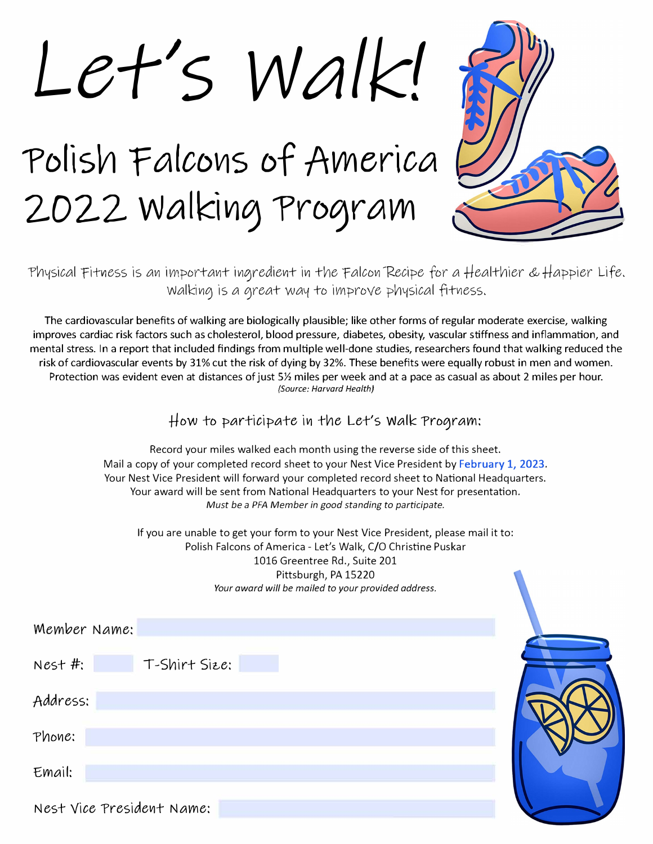Let's Walk!

Polish Falcons of America 2022 Walking Program



Thysical Fitness is an important ingredient in the Falcon Recipe for a Healthier & Happier Life. Walking is a great way to improve physical fitness.

The cardiovascular benefits of walking are biologically plausible; like other forms of regular moderate exercise, walking improves cardiac risk factors such as cholesterol, blood pressure, diabetes, obesity, vascular stiffness and inflammation, and mental stress. In a report that included findings from multiple well-done studies, researchers found that walking reduced the risk of cardiovascular events by 31% cut the risk of dying by 32%. These benefits were equally robust in men and women. Protection was evident even at distances of just 5½ miles per week and at a pace as casual as about 2 miles per hour. *(Source: Harvard Health)* 

How to participate in the Let's Walk Program:

Record your miles walked each month using the reverse side of this sheet. Mail a copy of your completed record sheet to your Nest Vice President by **February 1, 2023.**  Your Nest Vice President will forward your completed record sheet to National Headquarters. Your award will be sent from National Headquarters to your Nest for presentation. *Must be a PFA Member in good standing to participate.* 

If you are unable to get your form to your Nest Vice President, please mail it to: Polish Falcons of America - Let's Walk, C/0 Christine Puskar 1016 Greentree Rd., Suite 201 Pittsburgh, PA 15220 *Your award will be mailed to your provided address.* 

| Member Name:               |  |
|----------------------------|--|
| T-Shirt Size:<br>$Nest$ #: |  |
| Address:                   |  |
| Phone:                     |  |
| Email:                     |  |
| Nest Vice President Name:  |  |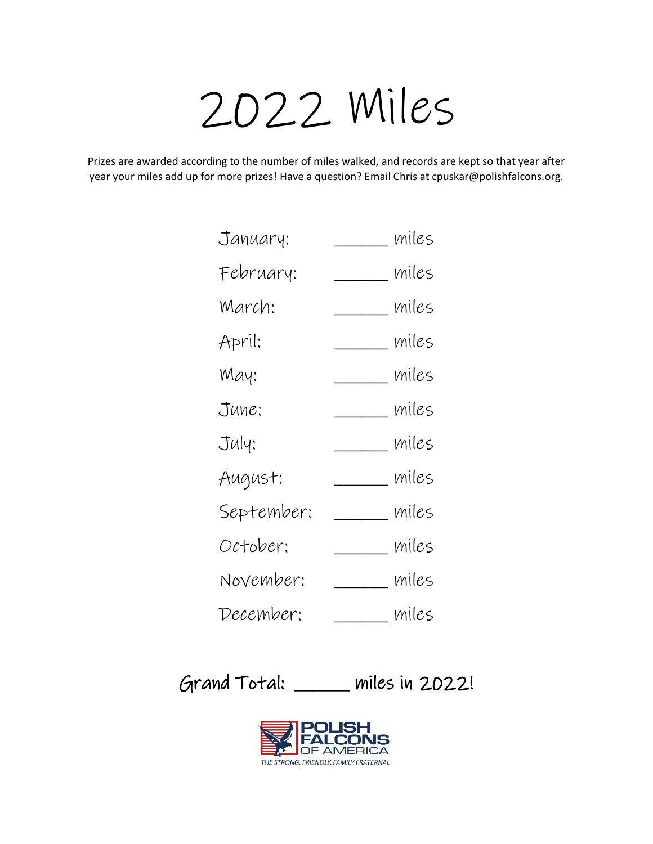## 2022 Miles

Prizes are awarded according to the number of miles walked, and records are kept so that year after year your miles add up for more prizes! Have a question? Email Chris at cpuskar@polishfalcons.org.

| January:   |             | miles |
|------------|-------------|-------|
| February:  |             | miles |
| March:     |             | miles |
| April:     | miles       |       |
| May:       | _____ miles |       |
| June:      |             | miles |
| July:      |             | miles |
| August:    |             | miles |
| September: |             | miles |
| October:   |             | miles |
| November:  |             | miles |
| December:  |             | miles |

Grand Total: \_\_\_\_\_\_ miles in 2022!